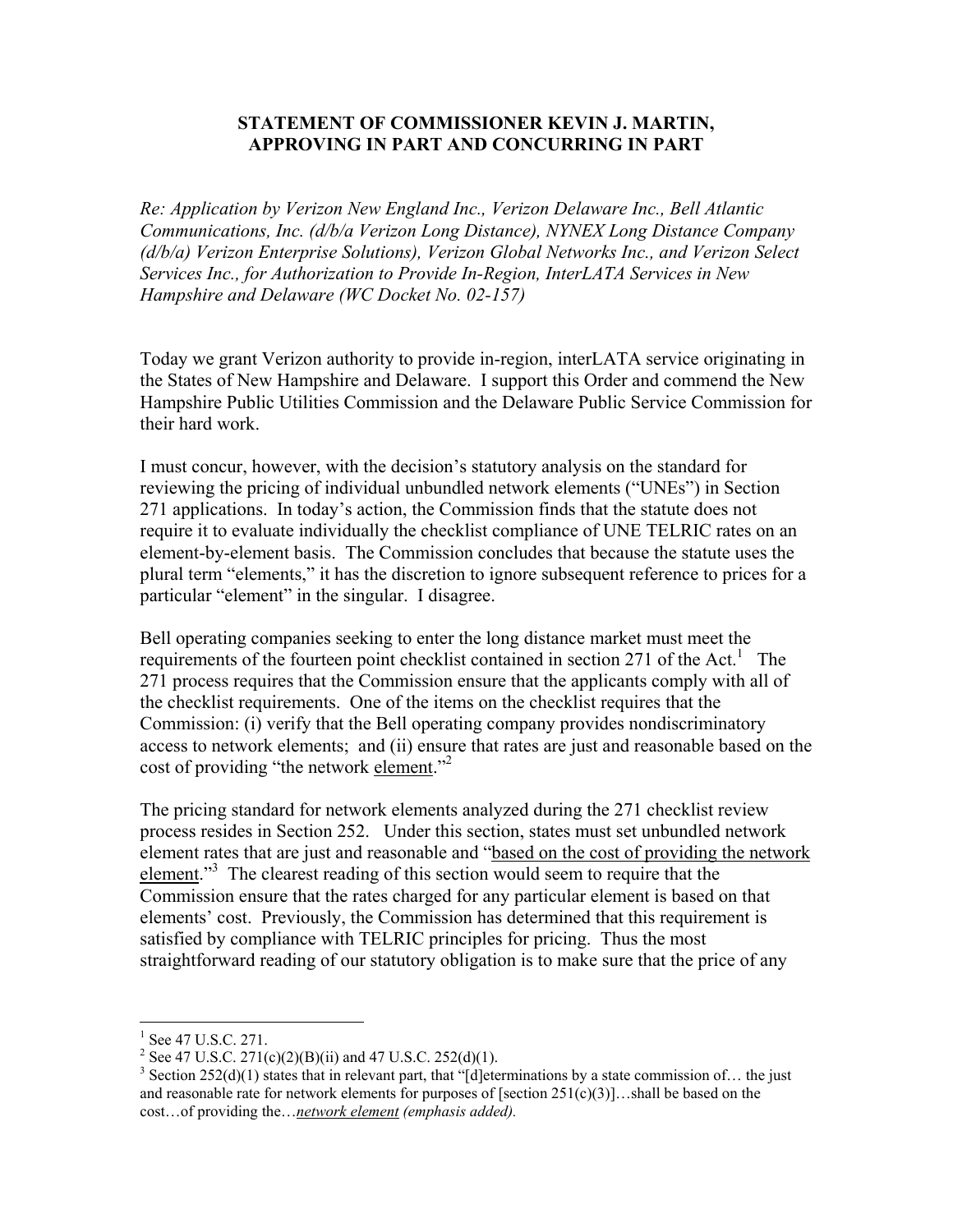## **STATEMENT OF COMMISSIONER KEVIN J. MARTIN, APPROVING IN PART AND CONCURRING IN PART**

*Re: Application by Verizon New England Inc., Verizon Delaware Inc., Bell Atlantic Communications, Inc. (d/b/a Verizon Long Distance), NYNEX Long Distance Company (d/b/a) Verizon Enterprise Solutions), Verizon Global Networks Inc., and Verizon Select Services Inc., for Authorization to Provide In-Region, InterLATA Services in New Hampshire and Delaware (WC Docket No. 02-157)* 

Today we grant Verizon authority to provide in-region, interLATA service originating in the States of New Hampshire and Delaware. I support this Order and commend the New Hampshire Public Utilities Commission and the Delaware Public Service Commission for their hard work.

I must concur, however, with the decision's statutory analysis on the standard for reviewing the pricing of individual unbundled network elements ("UNEs") in Section 271 applications. In today's action, the Commission finds that the statute does not require it to evaluate individually the checklist compliance of UNE TELRIC rates on an element-by-element basis. The Commission concludes that because the statute uses the plural term "elements," it has the discretion to ignore subsequent reference to prices for a particular "element" in the singular. I disagree.

Bell operating companies seeking to enter the long distance market must meet the requirements of the fourteen point checklist contained in section 271 of the Act.<sup>1</sup> The 271 process requires that the Commission ensure that the applicants comply with all of the checklist requirements. One of the items on the checklist requires that the Commission: (i) verify that the Bell operating company provides nondiscriminatory access to network elements; and (ii) ensure that rates are just and reasonable based on the cost of providing "the network element."<sup>2</sup>

The pricing standard for network elements analyzed during the 271 checklist review process resides in Section 252. Under this section, states must set unbundled network element rates that are just and reasonable and "based on the cost of providing the network element."<sup>3</sup> The clearest reading of this section would seem to require that the Commission ensure that the rates charged for any particular element is based on that elements' cost. Previously, the Commission has determined that this requirement is satisfied by compliance with TELRIC principles for pricing. Thus the most straightforward reading of our statutory obligation is to make sure that the price of any

 $\overline{a}$ 

<sup>&</sup>lt;sup>1</sup> See 47 U.S.C. 271.

<sup>&</sup>lt;sup>2</sup> See 47 U.S.C. 271(c)(2)(B)(ii) and 47 U.S.C. 252(d)(1).

<sup>&</sup>lt;sup>3</sup> Section 252(d)(1) states that in relevant part, that "[d]eterminations by a state commission of... the just and reasonable rate for network elements for purposes of [section  $251(c)(3)$ ]...shall be based on the cost…of providing the…*network element (emphasis added).*